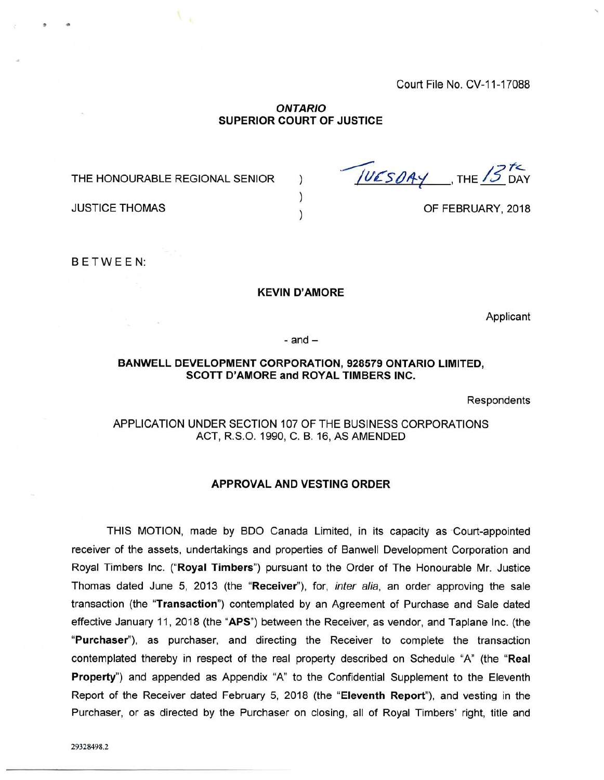Court File No. CV-11-17088

### *ONTARIO* **SUPERIOR COURT OF JUSTICE**

) ) )

THE HONOURABLE REGIONAL SENIOR

THE DAY

OF FEBRUARY, 2018

JUSTICE THOMAS

<sup>B</sup> ETWE <sup>E</sup> N:

#### **KEVIN D'AMORE**

Applicant

 $-$  and  $-$ 

#### **BANWELL DEVELOPMENT CORPORATION, 928579 ONTARIO LIMITED, SCOTT D'AMORE and ROYAL TIMBERS INC.**

Respondents

# APPLICATION UNDER SECTION 107 OF THE BUSINESS CORPORATIONS ACT, R.S.O. 1990, C. B. 16, AS AMENDED

#### **APPROVAL AND VESTING ORDER**

THIS MOTION, made by BDO Canada Limited, in its capacity as Court-appointed receiver of the assets, undertakings and properties of Banwell Development Corporation and Royal Timbers Inc. **("Royal Timbers")** pursuant to the Order of The Honourable Mr. Justice Thomas dated June 5, 2013 (the **"Receiver"),** for, *inter alia,* an order approving the sale transaction (the **"Transaction")** contemplated by an Agreement of Purchase and Sale dated effective January 11, 2018 (the **"APS")** between the Receiver, as vendor, and Taplane Inc. (the **"Purchaser"),** as purchaser, and directing the Receiver to complete the transaction contemplated thereby in respect of the real property described on Schedule "A" (the **"Real Property")** and appended as Appendix "A" to the Confidential Supplement to the Eleventh Report of the Receiver dated February 5, 2018 (the **"Eleventh Report"),** and vesting in the Purchaser, or as directed by the Purchaser on closing, all of Royal Timbers' right, title and

29328498.2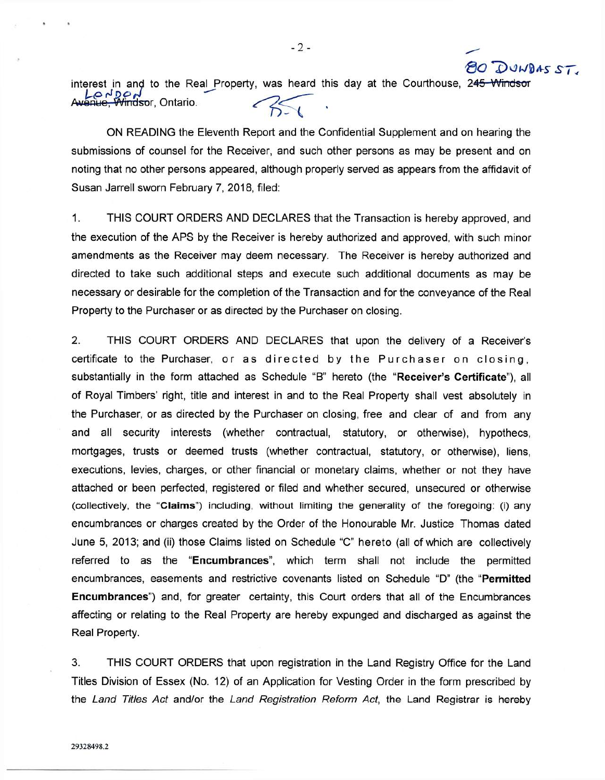interest in and to the Real Property, was heard this day at the Courthouse, 2<del>45 Windsor</del><br>Avenue Windsor Ontario Lo d'Do d<br>Anue, Windsor, Ontario.

 $20$  DUWDAS ST

ON READING the Eleventh Report and the Confidential Supplement and on hearing the submissions of counsel for the Receiver, and such other persons as may be present and on noting that no other persons appeared, although properly served as appears from the affidavit of Susan Jarrell sworn February 7, 2018, filed:

1. THIS COURT ORDERS AND DECLARES that the Transaction is hereby approved, and the execution of the APS by the Receiver is hereby authorized and approved, with such minor amendments as the Receiver may deem necessary. The Receiver is hereby authorized and directed to take such additional steps and execute such additional documents as may be necessary or desirable for the completion of the Transaction and for the conveyance of the Real Property to the Purchaser or as directed by the Purchaser on closing.

2. THIS COURT ORDERS AND DECLARES that upon the delivery of a Receiver's certificate to the Purchaser, or as directed by the Purchaser on closing, substantially in the form attached as Schedule "B" hereto (the **"Receiver's Certificate"),** all of Royal Timbers' right, title and interest in and to the Real Property shall vest absolutely in the Purchaser, or as directed by the Purchaser on closing, free and clear of and from any and all security interests (whether contractual, statutory, or otherwise), hypothecs, mortgages, trusts or deemed trusts (whether contractual, statutory, or otherwise), liens, executions, levies, charges, or other financial or monetary claims, whether or not they have attached or been perfected, registered or filed and whether secured, unsecured or otherwise **(collectively, the** "Claims") **including, without limiting the generality of the foregoing: (i)** any encumbrances or charges created by the Order of the Honourable Mr. Justice Thomas dated June 5, 2013; and (ii) those Claims listed on Schedule "C" hereto (all of which are collectively referred to as the **"Encumbrances",** which term shall not include the permitted encumbrances, easements and restrictive covenants listed on Schedule "D" (the **"Permitted Encumbrances")** and, for greater certainty, this Court orders that all of the Encumbrances affecting or relating to the Real Property are hereby expunged and discharged as against the Real Property.

3. THIS COURT ORDERS that upon registration in the Land Registry Office for the Land Titles Division of Essex (No. 12) of an Application for Vesting Order in the form prescribed by the *Land Titles Act* and/or the *Land Registration Reform Act*, the Land Registrar is hereby

 $-2-$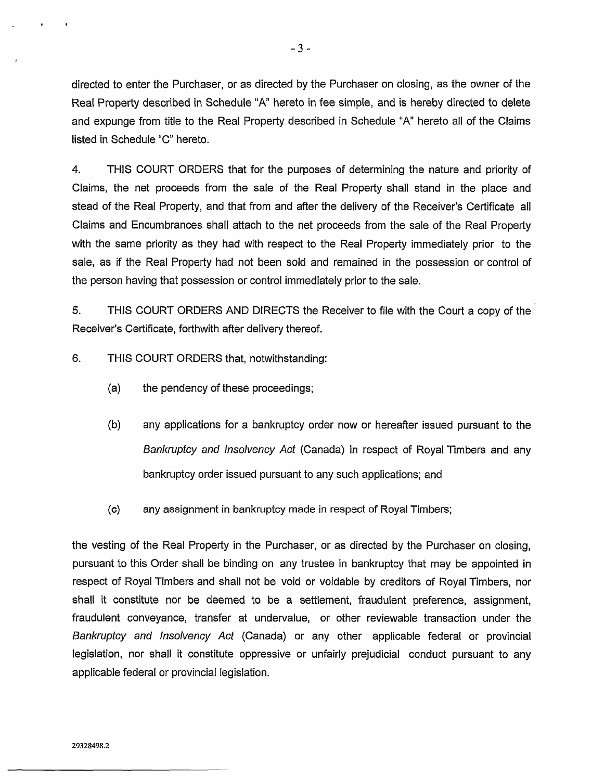directed to enter the Purchaser, or as directed by the Purchaser on closing, as the owner of the Real Property described in Schedule "A" hereto in fee simple, and is hereby directed to delete and expunge from title to the Real Property described in Schedule "A" hereto all of the Claims listed in Schedule "C" hereto.

4. THIS COURT ORDERS that for the purposes of determining the nature and priority of Claims, the net proceeds from the sale of the Real Property shall stand in the place and stead of the Real Property, and that from and after the delivery of the Receiver's Certificate all Claims and Encumbrances shall attach to the net proceeds from the sale of the Real Property with the same priority as they had with respect to the Real Property immediately prior to the sale, as if the Real Property had not been sold and remained in the possession or control of the person having that possession or control immediately prior to the sale.

5. THIS COURT ORDERS AND DIRECTS the Receiver to file with the Court a copy of the Receiver's Certificate, forthwith after delivery thereof.

6. THIS COURT ORDERS that, notwithstanding:

- (a) the pendency of these proceedings;
- (b) any applications for a bankruptcy order now or hereafter issued pursuant to the *Bankruptcy and Insolvency Act* (Canada) in respect of Royal Timbers and any bankruptcy order issued pursuant to any such applications; and
- (c) any assignment in bankruptcy made in respect of Royal Timbers;

the vesting of the Real Property in the Purchaser, or as directed by the Purchaser on closing, pursuant to this Order shall be binding on any trustee in bankruptcy that may be appointed in respect of Royal Timbers and shall not be void or voidable by creditors of Royal Timbers, nor shall it constitute nor be deemed to be a settlement, fraudulent preference, assignment, fraudulent conveyance, transfer at undervalue, or other reviewable transaction under the *Bankruptcy and Insolvency Act* (Canada) or any other applicable federal or provincial legislation, nor shall it constitute oppressive or unfairly prejudicial conduct pursuant to any applicable federal or provincial legislation.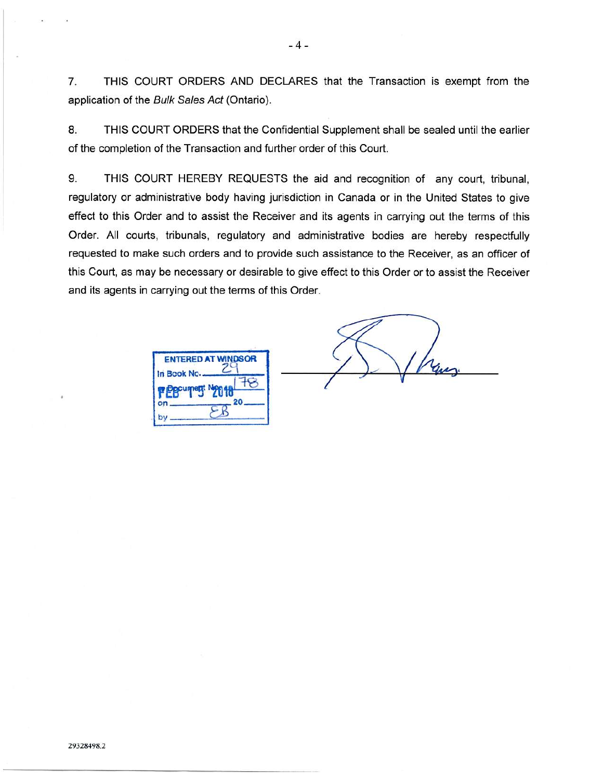7. THIS COURT ORDERS AND DECLARES that the Transaction is exempt from the application of the *Bulk Sales Act* (Ontario).

8. THIS COURT ORDERS that the Confidential Supplement shall be sealed until the earlier of the completion of the Transaction and further order of this Court.

9. THIS COURT HEREBY REQUESTS the aid and recognition of any court, tribunal, regulatory or administrative body having jurisdiction in Canada or in the United States to give effect to this Order and to assist the Receiver and its agents in carrying out the terms of this Order. All courts, tribunals, regulatory and administrative bodies are hereby respectfully requested to make such orders and to provide such assistance to the Receiver, as an officer of this Court, as may be necessary or desirable to give effect to this Order or to assist the Receiver and its agents in carrying out the terms of this Order.

**ENTERED AT WINDSOR In Book No r** EB<sup>cume</sup> 78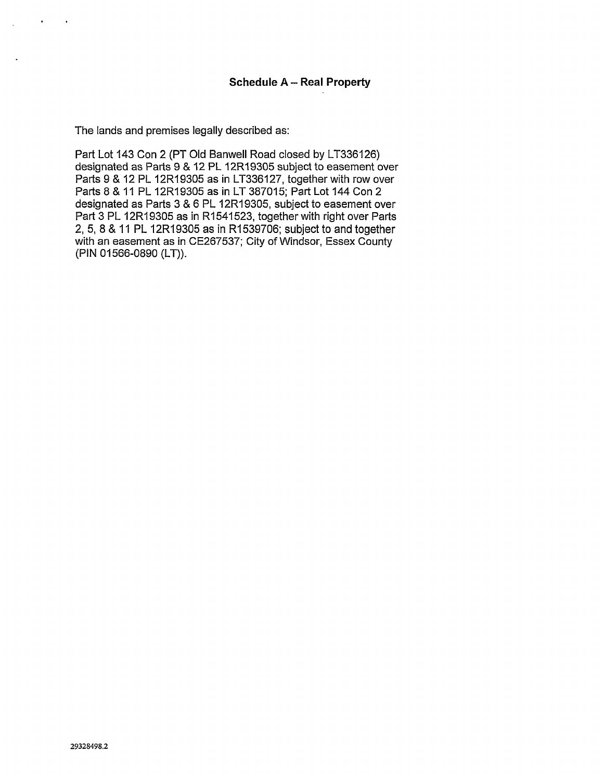The lands and premises legally described as:

Part Lot 143 Con 2 (PT Old Banwell Road closed by LT336126) designated as Parts 9 & 12 PL 12R19305 subject to easement over Parts 9 & 12 PL 12R19305 as in LT336127, together with row over Parts 8 & 11 PL 12R19305 as in LT 387015; Part Lot 144 Con 2 designated as Parts 3 & 6 PL 12R19305, subject to easement over Part 3 PL 12R19305 as in R1541523, together with right over Parts 2, 5, 8 & 11 PL 12R19305 as in R1539706; subject to and together with an easement as in CE267537; City of Windsor, Essex County (PIN 01566-0890 (LT)).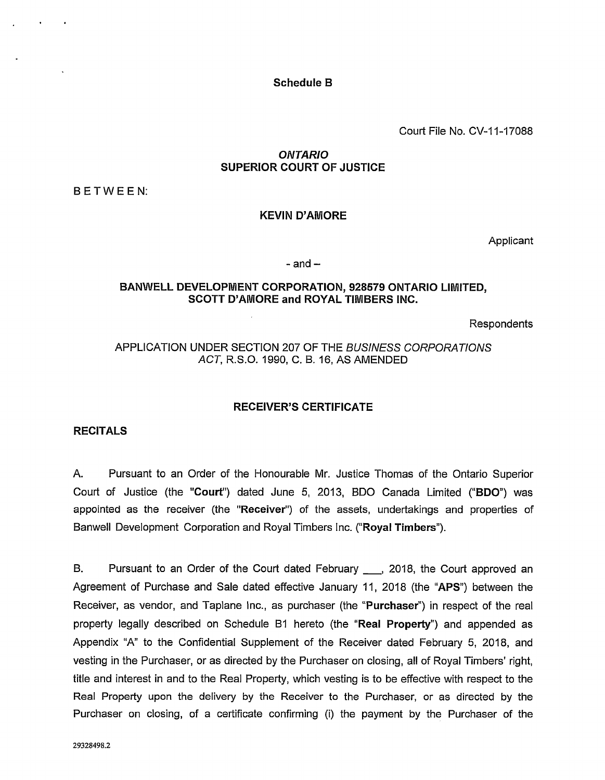Schedule B

Court File No. CV-11-17088

# *ONTARIO* SUPERIOR COURT OF JUSTICE

BETWEEN:

# KEVIN D'AMORE

Applicant

 $-$  and  $-$ 

## BANWELL DEVELOPMENT CORPORATION, 928579 ONTARIO LIMITED, SCOTT D'AMORE and ROYAL TIMBERS INC.

Respondents

# APPLICATION UNDER SECTION 207 OF THE *BUSINESS CORPORATIONS ACT,* R.S.O. 1990, C. B. 16, AS AMENDED

## RECEIVER'S CERTIFICATE

## **RECITALS**

A. Pursuant to an Order of the Honourable Mr. Justice Thomas of the Ontario Superior Court of Justice (the "Court") dated June 5, 2013, BDO Canada Limited ("BDO") was appointed as the receiver (the "Receiver") of the assets, undertakings and properties of Banwell Development Corporation and Royal Timbers Inc. ("Royal Timbers").

B. Pursuant to an Order of the Court dated February \_\_\_, 2018, the Court approved an Agreement of Purchase and Sale dated effective January 11, 2018 (the "APS") between the Receiver, as vendor, and Taplane Inc., as purchaser (the "Purchaser") in respect of the real property legally described on Schedule B1 hereto (the "Real Property") and appended as Appendix "A" to the Confidential Supplement of the Receiver dated February 5, 2018, and vesting in the Purchaser, or as directed by the Purchaser on closing, all of Royal Timbers' right, title and interest in and to the Real Property, which vesting is to be effective with respect to the Real Property upon the delivery by the Receiver to the Purchaser, or as directed by the Purchaser on closing, of a certificate confirming (i) the payment by the Purchaser of the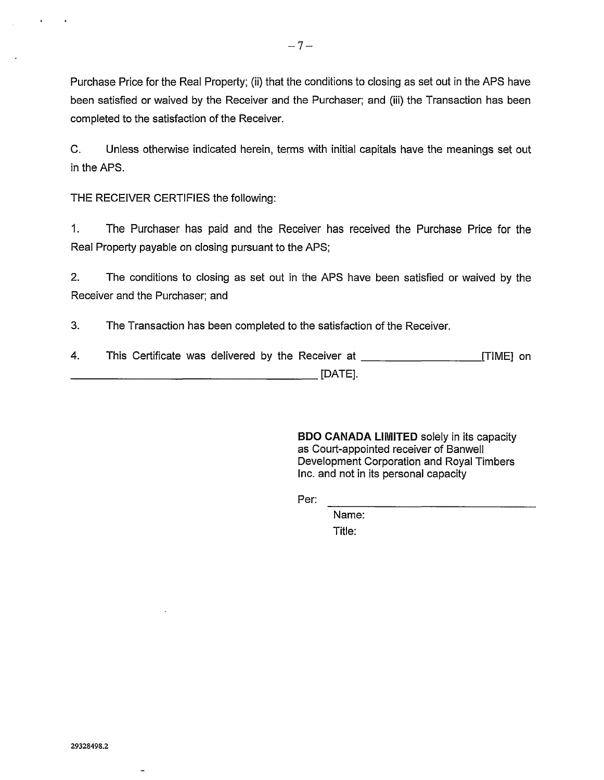Purchase Price for the Real Property; (ii) that the conditions to closing as set out in the APS have been satisfied or waived by the Receiver and the Purchaser; and (iii) the Transaction has been completed to the satisfaction of the Receiver.

C. Unless otherwise indicated herein, terms with initial capitals have the meanings set out in the APS.

THE RECEIVER CERTIFIES the following:

1. The Purchaser has paid and the Receiver has received the Purchase Price for the Real Property payable on closing pursuant to the APS;

2. The conditions to closing as set out in the APS have been satisfied or waived by the Receiver and the Purchaser; and

3. The Transaction has been completed to the satisfaction of the Receiver.

4. This Certificate was delivered by the Receiver at \_\_\_\_\_\_\_\_\_\_\_\_\_\_\_\_\_\_\_\_\_\_\_\_\_\_[TIME] on  $\Box$  [DATE].

> BDO CANADA LIMITED solely in its capacity as Court-appointed receiver of Banwell Development Corporation and Royal Timbers Inc. and not in its personal capacity

 $Per:$ 

Name:

Title: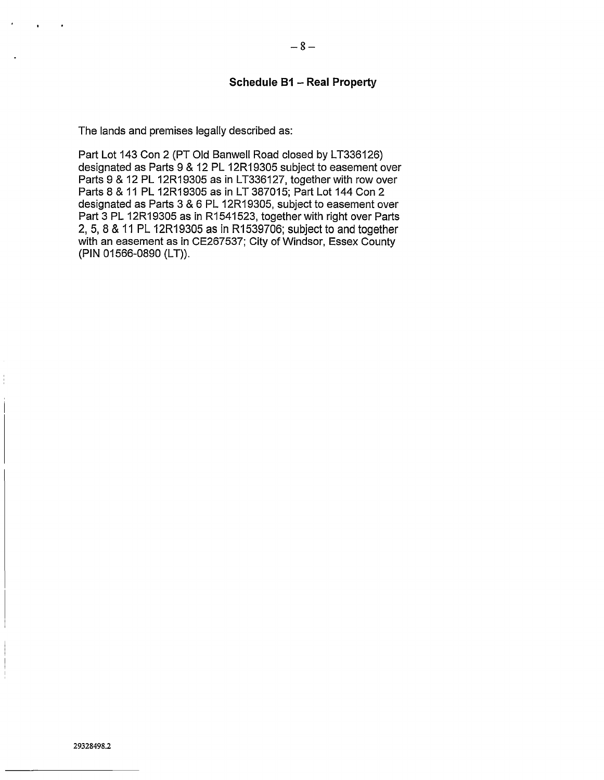## **Schedule B1 - Real Property**

The lands and premises legally described as:

Part Lot 143 Con 2 (PT Old Banwell Road closed by LT336126) designated as Parts 9 & 12 PL 12R19305 subject to easement over Parts 9 & 12 PL 12R19305 as in LT336127, together with row over Parts 8 & 11 PL 12R19305 as in LT 387015; Part Lot 144 Con 2 designated as Parts 3 & 6 PL 12R19305, subject to easement over Part 3 PL 12R19305 as in R1541523, together with right over Parts 2, 5, 8 & 11 PL 12R19305 as in R1539706; subject to and together with an easement as in CE267537; City of Windsor, Essex County (PIN 01566-0890 (LT)).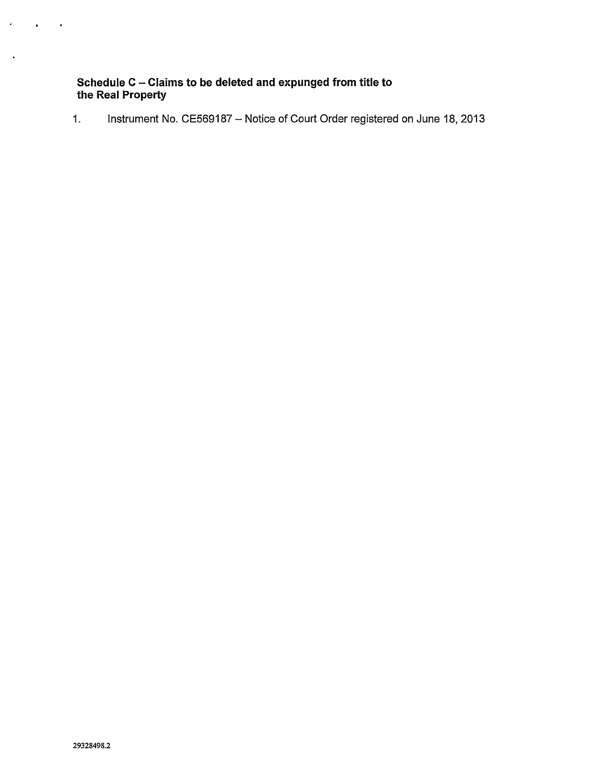# **Schedule <sup>C</sup> - Claims to be deleted and expunged from title to the Real Property**

1. Instrument No. CE569187 - Notice of Court Order registered on June 18, 2013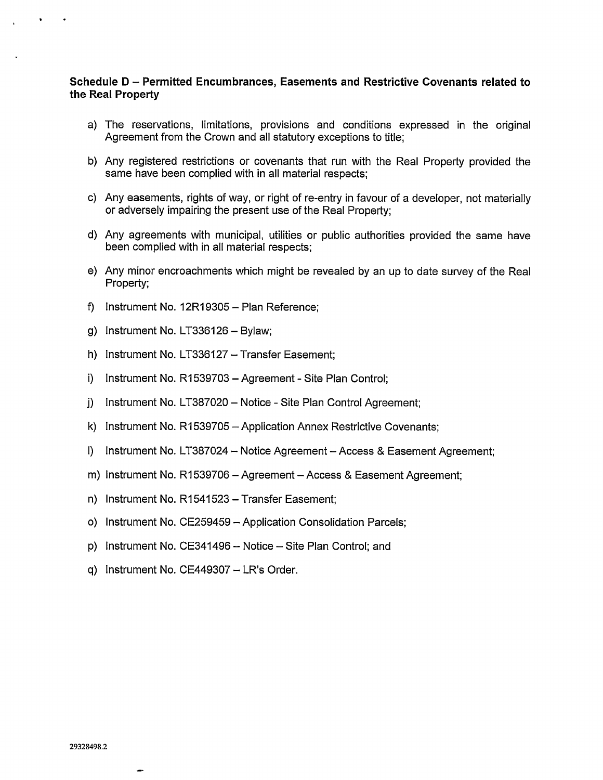# **Schedule <sup>D</sup> - Permitted Encumbrances, Easements and Restrictive Covenants related to the Real Property**

- a) The reservations, limitations, provisions and conditions expressed in the original Agreement from the Crown and all statutory exceptions to title;
- b) Any registered restrictions or covenants that run with the Real Property provided the same have been complied with in all material respects;
- c) Any easements, rights of way, or right of re-entry in favour of a developer, not materially or adversely impairing the present use of the Real Property;
- d) Any agreements with municipal, utilities or public authorities provided the same have been complied with in all material respects;
- e) Any minor encroachments which might be revealed by an up to date survey of the Real Property;
- f) Instrument No.  $12R19305 -$  Plan Reference;
- g) Instrument No. LT336126 Bylaw;
- h) Instrument No. LT336127 Transfer Easement;
- i) Instrument No. R1539703 Agreement Site Plan Control;
- j) Instrument No. LT387020 Notice Site Plan Control Agreement;
- k) Instrument No. R1539705 Application Annex Restrictive Covenants;
- <sup>l</sup>) Instrument No. LT387024 Notice Agreement-Access & Easement Agreement;
- m) Instrument No. R1539706 Agreement Access & Easement Agreement;
- n) Instrument No. R1541523 Transfer Easement;
- o) Instrument No. CE259459 Application Consolidation Parcels;
- p) Instrument No. CE341496 Notice Site Plan Control; and
- q) Instrument No. CE449307 LR's Order.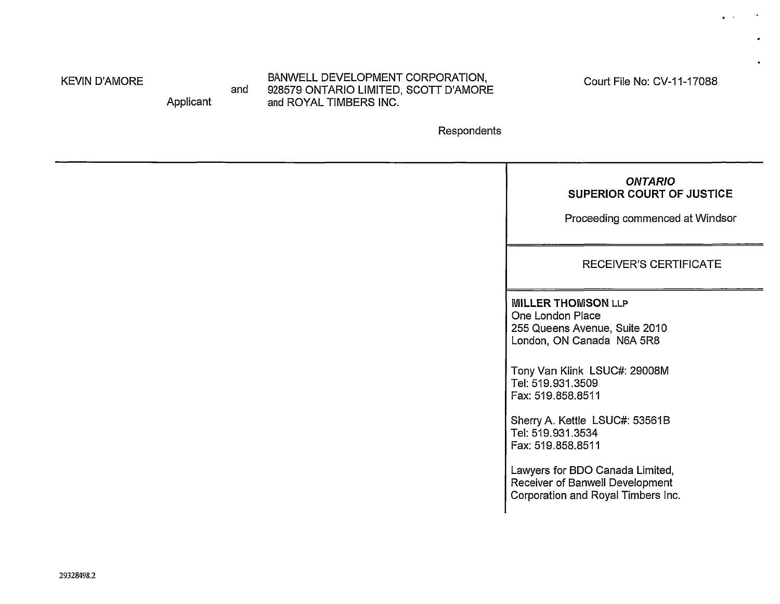KEVIN D'AMORE

Applicant

and BANWELL DEVELOPMENT CORPORATION, 928579 ONTARIO LIMITED, SCOTT D'AMORE and ROYAL TIMBERS INC.

Court File No: CV-11-17088

 $\bullet$ 

 $\bullet$ 

Respondents

| <b>ONTARIO</b><br><b>SUPERIOR COURT OF JUSTICE</b><br>Proceeding commenced at Windsor                                                                                                                                                                                                                                                                                         |
|-------------------------------------------------------------------------------------------------------------------------------------------------------------------------------------------------------------------------------------------------------------------------------------------------------------------------------------------------------------------------------|
| <b>RECEIVER'S CERTIFICATE</b>                                                                                                                                                                                                                                                                                                                                                 |
| <b>MILLER THOMSON LLP</b><br>One London Place<br>255 Queens Avenue, Suite 2010<br>London, ON Canada N6A 5R8<br>Tony Van Klink LSUC#: 29008M<br>Tel: 519.931.3509<br>Fax: 519.858.8511<br>Sherry A. Kettle LSUC#: 53561B<br>Tel: 519.931.3534<br>Fax: 519.858.8511<br>Lawyers for BDO Canada Limited,<br>Receiver of Banwell Development<br>Corporation and Royal Timbers Inc. |